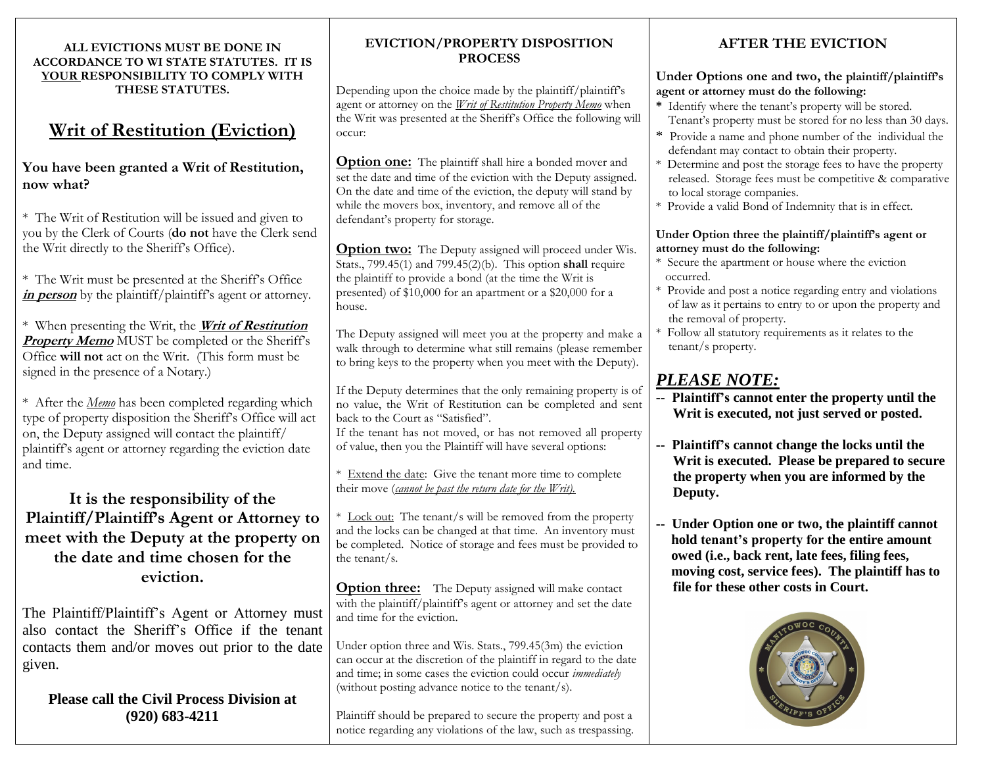#### **ALL EVICTIONS MUST BE DONE IN ACCORDANCE TO WI STATE STATUTES. IT IS YOUR RESPONSIBILITY TO COMPLY WITH THESE STATUTES.**

## **Writ of Restitution (Eviction)**

#### **You have been granted a Writ of Restitution, now what?**

\* The Writ of Restitution will be issued and given to you by the Clerk of Courts (**do not** have the Clerk send the Writ directly to the Sheriff's Office).

\* The Writ must be presented at the Sheriff's Office in **person** by the plaintiff/plaintiff's agent or attorney.

\* When presenting the Writ, the **Writ of Restitution Property Memo** MUST be completed or the Sheriff's Office **will not** act on the Writ. (This form must be signed in the presence of a Notary.)

\* After the *Memo* has been completed regarding which type of property disposition the Sheriff's Office will act on, the Deputy assigned will contact the plaintiff/ plaintiff's agent or attorney regarding the eviction date and time.

### **It is the responsibility of the Plaintiff/Plaintiff's Agent or Attorney to meet with the Deputy at the property on the date and time chosen for the eviction.**

The Plaintiff/Plaintiff's Agent or Attorney must also contact the Sheriff's Office if the tenant contacts them and/or moves out prior to the date given.

#### **Please call the Civil Process Division at (920) 683-4211**

#### **EVICTION/PROPERTY DISPOSITION PROCESS**

Depending upon the choice made by the plaintiff/plaintiff's agent or attorney on the *Writ of Restitution Property Memo* when the Writ was presented at the Sheriff's Office the following will occur:

**Option one:** The plaintiff shall hire a bonded mover and set the date and time of the eviction with the Deputy assigned. On the date and time of the eviction, the deputy will stand by while the movers box, inventory, and remove all of the defendant's property for storage.

**Option two:** The Deputy assigned will proceed under Wis. Stats., 799.45(1) and 799.45(2)(b). This option **shall** require the plaintiff to provide a bond (at the time the Writ is presented) of \$10,000 for an apartment or a \$20,000 for a house.

The Deputy assigned will meet you at the property and make a walk through to determine what still remains (please remember to bring keys to the property when you meet with the Deputy).

If the Deputy determines that the only remaining property is of no value, the Writ of Restitution can be completed and sent back to the Court as "Satisfied".

If the tenant has not moved, or has not removed all property of value, then you the Plaintiff will have several options:

\* Extend the date: Give the tenant more time to complete their move (*cannot be past the return date for the Writ).*

\* Lock out: The tenant/s will be removed from the property and the locks can be changed at that time. An inventory must be completed. Notice of storage and fees must be provided to the tenant/s.

**Option three:** The Deputy assigned will make contact with the plaintiff/plaintiff's agent or attorney and set the date and time for the eviction.

Under option three and Wis. Stats., 799.45(3m) the eviction can occur at the discretion of the plaintiff in regard to the date and time; in some cases the eviction could occur *immediately* (without posting advance notice to the tenant/s).

Plaintiff should be prepared to secure the property and post a notice regarding any violations of the law, such as trespassing.

## **AFTER THE EVICTION**

#### **Under Options one and two, the plaintiff/plaintiff's agent or attorney must do the following:**

- **\*** Identify where the tenant's property will be stored. Tenant's property must be stored for no less than 30 days.
- \* Provide a name and phone number of the individual the defendant may contact to obtain their property.
- \* Determine and post the storage fees to have the property released. Storage fees must be competitive & comparative to local storage companies.
- \* Provide a valid Bond of Indemnity that is in effect.

#### **Under Option three the plaintiff/plaintiff's agent or attorney must do the following:**

- \* Secure the apartment or house where the eviction occurred.
- \* Provide and post a notice regarding entry and violations of law as it pertains to entry to or upon the property and the removal of property.
- \* Follow all statutory requirements as it relates to the tenant/s property.

## *PLEASE NOTE:*

- **-- Plaintiff's cannot enter the property until the Writ is executed, not just served or posted.**
- **-- Plaintiff's cannot change the locks until the Writ is executed. Please be prepared to secure the property when you are informed by the Deputy.**
- **-- Under Option one or two, the plaintiff cannot hold tenant's property for the entire amount owed (i.e., back rent, late fees, filing fees, moving cost, service fees). The plaintiff has to file for these other costs in Court.**